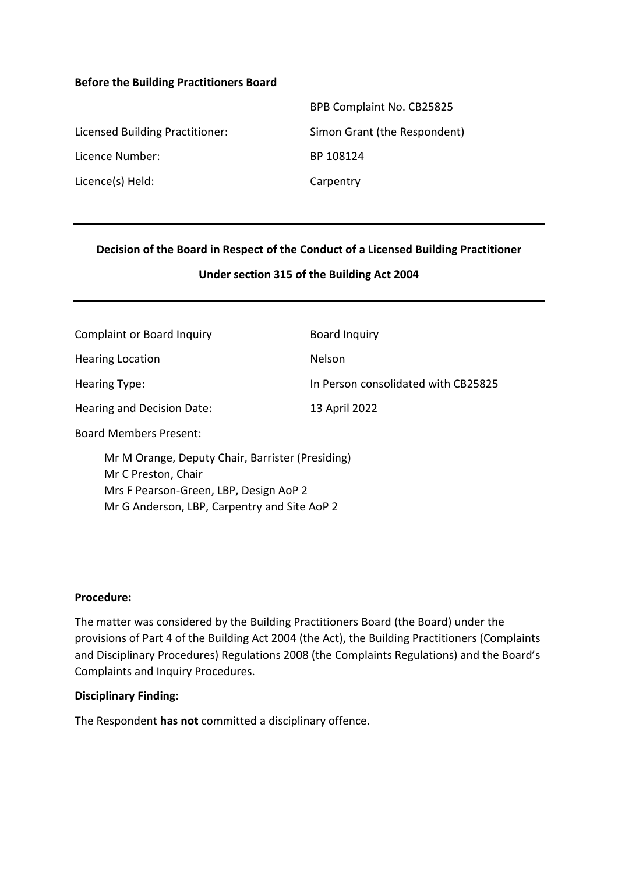### **Before the Building Practitioners Board**

|                                 | BPB Complaint No. CB25825    |
|---------------------------------|------------------------------|
| Licensed Building Practitioner: | Simon Grant (the Respondent) |
| Licence Number:                 | BP 108124                    |
| Licence(s) Held:                | Carpentry                    |

## **Decision of the Board in Respect of the Conduct of a Licensed Building Practitioner**

### **Under section 315 of the Building Act 2004**

| <b>Complaint or Board Inquiry</b>                                                                                 | <b>Board Inquiry</b>                |
|-------------------------------------------------------------------------------------------------------------------|-------------------------------------|
| <b>Hearing Location</b>                                                                                           | <b>Nelson</b>                       |
| Hearing Type:                                                                                                     | In Person consolidated with CB25825 |
| Hearing and Decision Date:                                                                                        | 13 April 2022                       |
| <b>Board Members Present:</b>                                                                                     |                                     |
| Mr M Orange, Deputy Chair, Barrister (Presiding)<br>Mr C Preston, Chair<br>Mrs F Pearson-Green, LBP, Design AoP 2 |                                     |

Mr G Anderson, LBP, Carpentry and Site AoP 2

### **Procedure:**

The matter was considered by the Building Practitioners Board (the Board) under the provisions of Part 4 of the Building Act 2004 (the Act), the Building Practitioners (Complaints and Disciplinary Procedures) Regulations 2008 (the Complaints Regulations) and the Board's Complaints and Inquiry Procedures.

#### **Disciplinary Finding:**

The Respondent **has not** committed a disciplinary offence.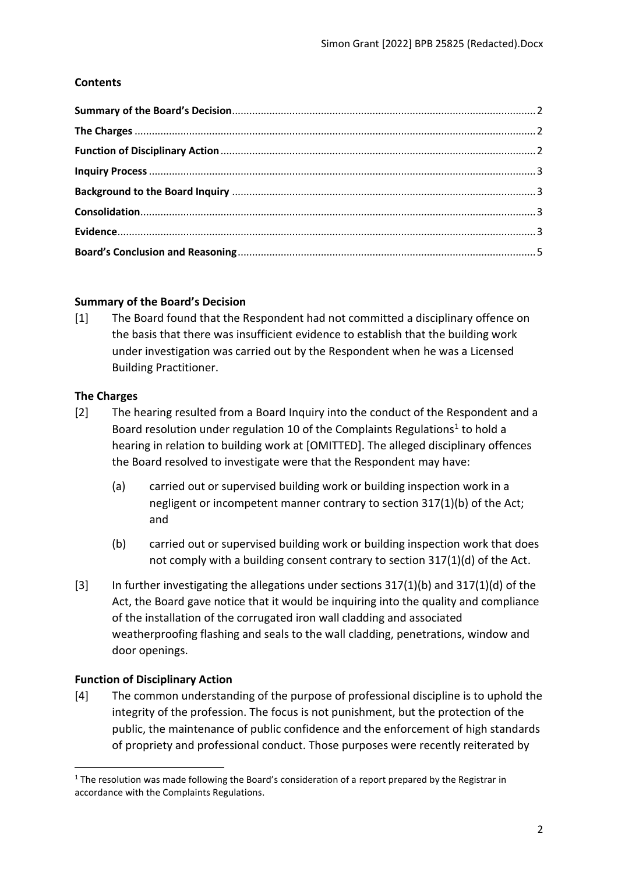# **Contents**

# <span id="page-1-0"></span>**Summary of the Board's Decision**

[1] The Board found that the Respondent had not committed a disciplinary offence on the basis that there was insufficient evidence to establish that the building work under investigation was carried out by the Respondent when he was a Licensed Building Practitioner.

# <span id="page-1-1"></span>**The Charges**

- [2] The hearing resulted from a Board Inquiry into the conduct of the Respondent and a Board resolution under regulation 10 of the Complaints Regulations<sup>1</sup> to hold a hearing in relation to building work at [OMITTED]. The alleged disciplinary offences the Board resolved to investigate were that the Respondent may have:
	- (a) carried out or supervised building work or building inspection work in a negligent or incompetent manner contrary to section 317(1)(b) of the Act; and
	- (b) carried out or supervised building work or building inspection work that does not comply with a building consent contrary to section 317(1)(d) of the Act.
- [3] In further investigating the allegations under sections 317(1)(b) and 317(1)(d) of the Act, the Board gave notice that it would be inquiring into the quality and compliance of the installation of the corrugated iron wall cladding and associated weatherproofing flashing and seals to the wall cladding, penetrations, window and door openings.

# <span id="page-1-2"></span>**Function of Disciplinary Action**

[4] The common understanding of the purpose of professional discipline is to uphold the integrity of the profession. The focus is not punishment, but the protection of the public, the maintenance of public confidence and the enforcement of high standards of propriety and professional conduct. Those purposes were recently reiterated by

 $1$  The resolution was made following the Board's consideration of a report prepared by the Registrar in accordance with the Complaints Regulations.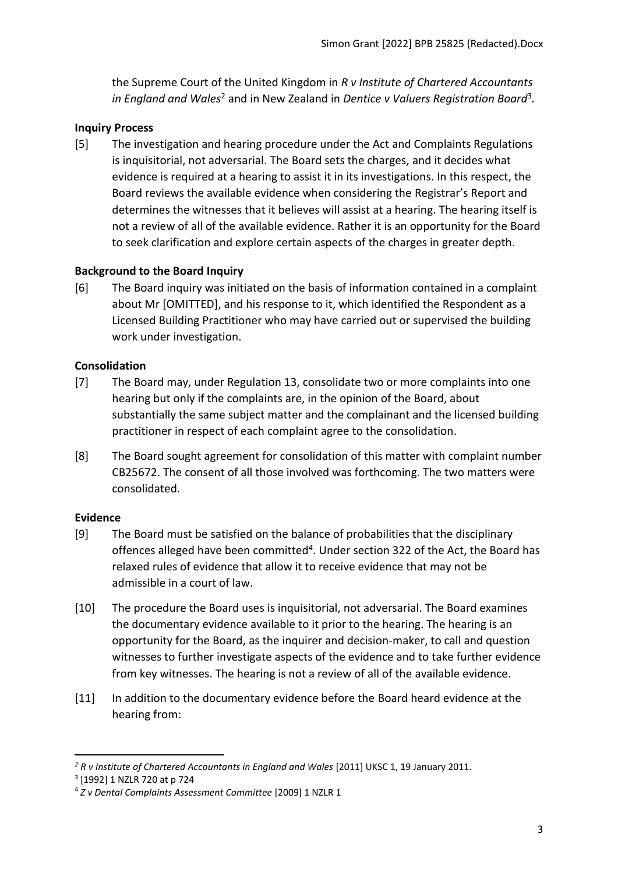the Supreme Court of the United Kingdom in *R v Institute of Chartered Accountants*  in England and Wales<sup>2</sup> and in New Zealand in Dentice v Valuers Registration Board<sup>3</sup>.

### <span id="page-2-0"></span>**Inquiry Process**

[5] The investigation and hearing procedure under the Act and Complaints Regulations is inquisitorial, not adversarial. The Board sets the charges, and it decides what evidence is required at a hearing to assist it in its investigations. In this respect, the Board reviews the available evidence when considering the Registrar's Report and determines the witnesses that it believes will assist at a hearing. The hearing itself is not a review of all of the available evidence. Rather it is an opportunity for the Board to seek clarification and explore certain aspects of the charges in greater depth.

## <span id="page-2-1"></span>**Background to the Board Inquiry**

[6] The Board inquiry was initiated on the basis of information contained in a complaint about Mr [OMITTED], and his response to it, which identified the Respondent as a Licensed Building Practitioner who may have carried out or supervised the building work under investigation.

### <span id="page-2-2"></span>**Consolidation**

- [7] The Board may, under Regulation 13, consolidate two or more complaints into one hearing but only if the complaints are, in the opinion of the Board, about substantially the same subject matter and the complainant and the licensed building practitioner in respect of each complaint agree to the consolidation.
- [8] The Board sought agreement for consolidation of this matter with complaint number CB25672. The consent of all those involved was forthcoming. The two matters were consolidated.

### <span id="page-2-3"></span>**Evidence**

- [9] The Board must be satisfied on the balance of probabilities that the disciplinary offences alleged have been committed*<sup>4</sup>* . Under section 322 of the Act, the Board has relaxed rules of evidence that allow it to receive evidence that may not be admissible in a court of law.
- [10] The procedure the Board uses is inquisitorial, not adversarial. The Board examines the documentary evidence available to it prior to the hearing. The hearing is an opportunity for the Board, as the inquirer and decision-maker, to call and question witnesses to further investigate aspects of the evidence and to take further evidence from key witnesses. The hearing is not a review of all of the available evidence.
- [11] In addition to the documentary evidence before the Board heard evidence at the hearing from:

*<sup>2</sup> R v Institute of Chartered Accountants in England and Wales* [2011] UKSC 1, 19 January 2011.

<sup>3</sup> [1992] 1 NZLR 720 at p 724

<sup>4</sup> *Z v Dental Complaints Assessment Committee* [2009] 1 NZLR 1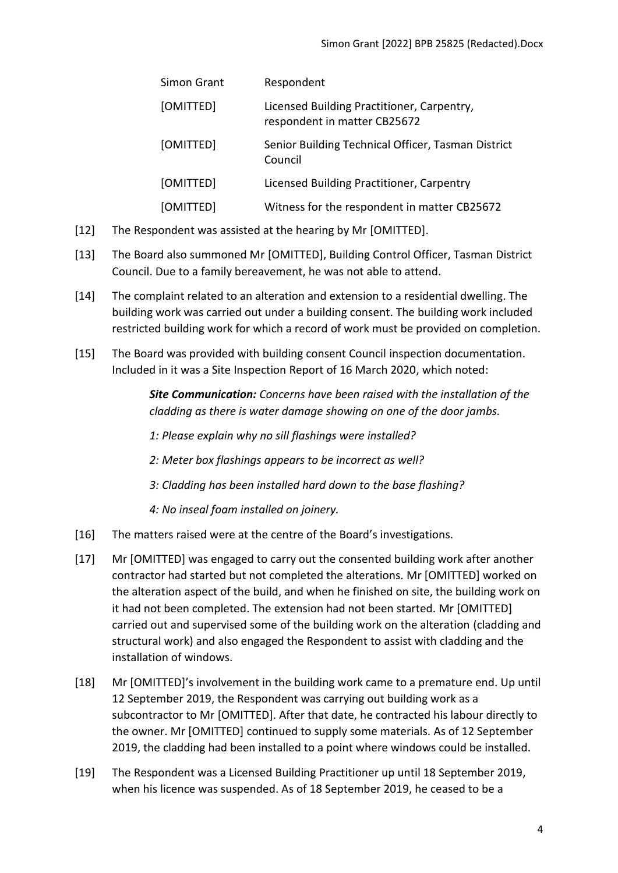| Simon Grant | Respondent                                                                 |
|-------------|----------------------------------------------------------------------------|
| [OMITTED]   | Licensed Building Practitioner, Carpentry,<br>respondent in matter CB25672 |
| [OMITTED]   | Senior Building Technical Officer, Tasman District<br>Council              |
| [OMITTED]   | Licensed Building Practitioner, Carpentry                                  |
| [OMITTED]   | Witness for the respondent in matter CB25672                               |

- [12] The Respondent was assisted at the hearing by Mr [OMITTED].
- [13] The Board also summoned Mr [OMITTED], Building Control Officer, Tasman District Council. Due to a family bereavement, he was not able to attend.
- [14] The complaint related to an alteration and extension to a residential dwelling. The building work was carried out under a building consent. The building work included restricted building work for which a record of work must be provided on completion.
- [15] The Board was provided with building consent Council inspection documentation. Included in it was a Site Inspection Report of 16 March 2020, which noted:

*Site Communication: Concerns have been raised with the installation of the cladding as there is water damage showing on one of the door jambs.*

*1: Please explain why no sill flashings were installed?*

*2: Meter box flashings appears to be incorrect as well?*

*3: Cladding has been installed hard down to the base flashing?*

*4: No inseal foam installed on joinery.* 

- [16] The matters raised were at the centre of the Board's investigations.
- [17] Mr [OMITTED] was engaged to carry out the consented building work after another contractor had started but not completed the alterations. Mr [OMITTED] worked on the alteration aspect of the build, and when he finished on site, the building work on it had not been completed. The extension had not been started. Mr [OMITTED] carried out and supervised some of the building work on the alteration (cladding and structural work) and also engaged the Respondent to assist with cladding and the installation of windows.
- [18] Mr [OMITTED]'s involvement in the building work came to a premature end. Up until 12 September 2019, the Respondent was carrying out building work as a subcontractor to Mr [OMITTED]. After that date, he contracted his labour directly to the owner. Mr [OMITTED] continued to supply some materials. As of 12 September 2019, the cladding had been installed to a point where windows could be installed.
- [19] The Respondent was a Licensed Building Practitioner up until 18 September 2019, when his licence was suspended. As of 18 September 2019, he ceased to be a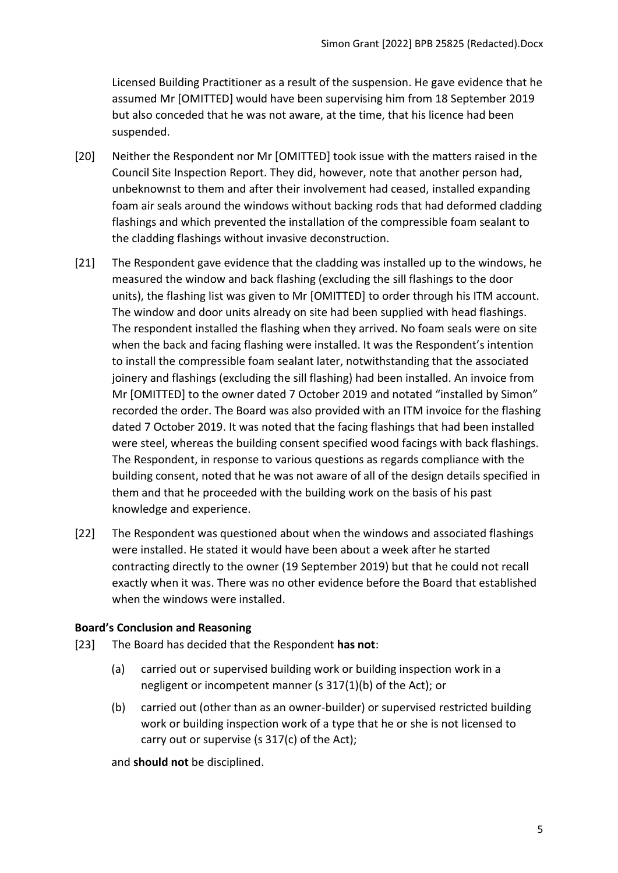Licensed Building Practitioner as a result of the suspension. He gave evidence that he assumed Mr [OMITTED] would have been supervising him from 18 September 2019 but also conceded that he was not aware, at the time, that his licence had been suspended.

- [20] Neither the Respondent nor Mr [OMITTED] took issue with the matters raised in the Council Site Inspection Report. They did, however, note that another person had, unbeknownst to them and after their involvement had ceased, installed expanding foam air seals around the windows without backing rods that had deformed cladding flashings and which prevented the installation of the compressible foam sealant to the cladding flashings without invasive deconstruction.
- [21] The Respondent gave evidence that the cladding was installed up to the windows, he measured the window and back flashing (excluding the sill flashings to the door units), the flashing list was given to Mr [OMITTED] to order through his ITM account. The window and door units already on site had been supplied with head flashings. The respondent installed the flashing when they arrived. No foam seals were on site when the back and facing flashing were installed. It was the Respondent's intention to install the compressible foam sealant later, notwithstanding that the associated joinery and flashings (excluding the sill flashing) had been installed. An invoice from Mr [OMITTED] to the owner dated 7 October 2019 and notated "installed by Simon" recorded the order. The Board was also provided with an ITM invoice for the flashing dated 7 October 2019. It was noted that the facing flashings that had been installed were steel, whereas the building consent specified wood facings with back flashings. The Respondent, in response to various questions as regards compliance with the building consent, noted that he was not aware of all of the design details specified in them and that he proceeded with the building work on the basis of his past knowledge and experience.
- [22] The Respondent was questioned about when the windows and associated flashings were installed. He stated it would have been about a week after he started contracting directly to the owner (19 September 2019) but that he could not recall exactly when it was. There was no other evidence before the Board that established when the windows were installed.

## <span id="page-4-0"></span>**Board's Conclusion and Reasoning**

- [23] The Board has decided that the Respondent **has not**:
	- (a) carried out or supervised building work or building inspection work in a negligent or incompetent manner (s 317(1)(b) of the Act); or
	- (b) carried out (other than as an owner-builder) or supervised restricted building work or building inspection work of a type that he or she is not licensed to carry out or supervise (s 317(c) of the Act);

and **should not** be disciplined.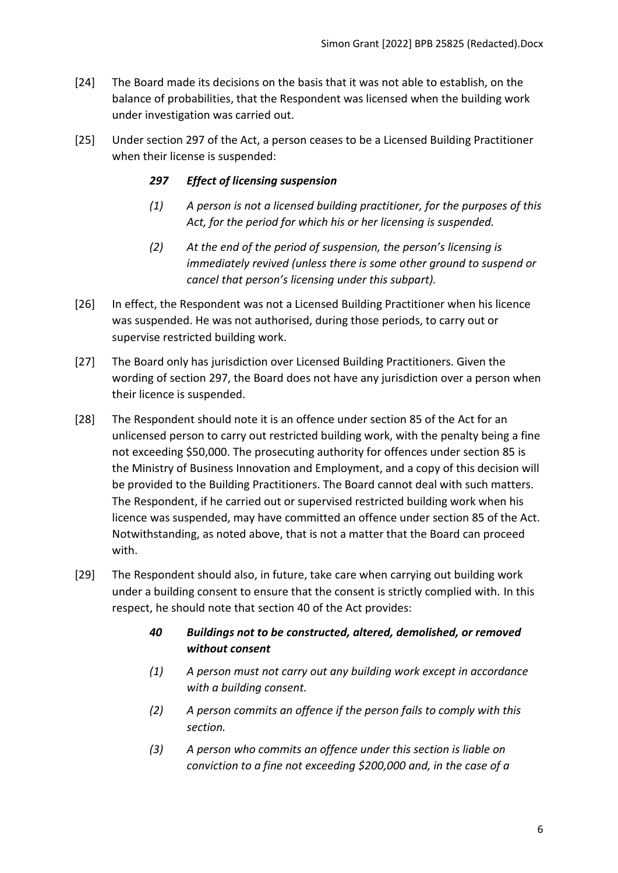- [24] The Board made its decisions on the basis that it was not able to establish, on the balance of probabilities, that the Respondent was licensed when the building work under investigation was carried out.
- [25] Under section 297 of the Act, a person ceases to be a Licensed Building Practitioner when their license is suspended:

## *297 Effect of licensing suspension*

- *(1) A person is not a licensed building practitioner, for the purposes of this Act, for the period for which his or her licensing is suspended.*
- *(2) At the end of the period of suspension, the person's licensing is immediately revived (unless there is some other ground to suspend or cancel that person's licensing under this subpart).*
- [26] In effect, the Respondent was not a Licensed Building Practitioner when his licence was suspended. He was not authorised, during those periods, to carry out or supervise restricted building work.
- [27] The Board only has jurisdiction over Licensed Building Practitioners. Given the wording of section 297, the Board does not have any jurisdiction over a person when their licence is suspended.
- [28] The Respondent should note it is an offence under section 85 of the Act for an unlicensed person to carry out restricted building work, with the penalty being a fine not exceeding \$50,000. The prosecuting authority for offences under section 85 is the Ministry of Business Innovation and Employment, and a copy of this decision will be provided to the Building Practitioners. The Board cannot deal with such matters. The Respondent, if he carried out or supervised restricted building work when his licence was suspended, may have committed an offence under section 85 of the Act. Notwithstanding, as noted above, that is not a matter that the Board can proceed with.
- [29] The Respondent should also, in future, take care when carrying out building work under a building consent to ensure that the consent is strictly complied with. In this respect, he should note that section 40 of the Act provides:

# *40 Buildings not to be constructed, altered, demolished, or removed without consent*

- *(1) A person must not carry out any building work except in accordance with a building consent.*
- *(2) A person commits an offence if the person fails to comply with this section.*
- *(3) A person who commits an offence under this section is liable on conviction to a fine not exceeding \$200,000 and, in the case of a*